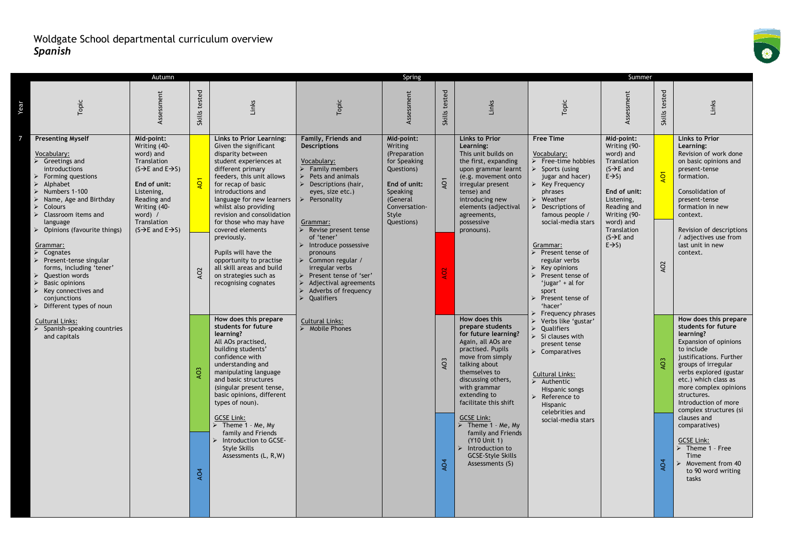

|                |                                                                                                                                                                                                                                                                                                                                                                                                                                                                                                                                                                                                                                                                                                                            | Autumn                                                                                                                                                                                                                                  |                                                 |                                                                                                                                                                                                                                                                                                                                                                                                                                                                                                                                                                                                                                                                                                                                                                                                                                                                                                                        |                                                                                                                                                                                                                                                                                                                                                                                                                                                                                  | Spring                                                                                                                                              |                                               |                                                                                                                                                                                                                                                                                                                                                                                                                                                                                                                                                                                                                                                                         |                                                                                                                                                                                                                                                                                                                                                                                                                                                                                                                                                                                                                                                                                                                                                                          | Summer                                                                                                                                                                                                                                            |                                                      |                                                                                                                                                                                                                                                                                                                                                                                                                                                                                                                                                                                                                                                                                                                                    |
|----------------|----------------------------------------------------------------------------------------------------------------------------------------------------------------------------------------------------------------------------------------------------------------------------------------------------------------------------------------------------------------------------------------------------------------------------------------------------------------------------------------------------------------------------------------------------------------------------------------------------------------------------------------------------------------------------------------------------------------------------|-----------------------------------------------------------------------------------------------------------------------------------------------------------------------------------------------------------------------------------------|-------------------------------------------------|------------------------------------------------------------------------------------------------------------------------------------------------------------------------------------------------------------------------------------------------------------------------------------------------------------------------------------------------------------------------------------------------------------------------------------------------------------------------------------------------------------------------------------------------------------------------------------------------------------------------------------------------------------------------------------------------------------------------------------------------------------------------------------------------------------------------------------------------------------------------------------------------------------------------|----------------------------------------------------------------------------------------------------------------------------------------------------------------------------------------------------------------------------------------------------------------------------------------------------------------------------------------------------------------------------------------------------------------------------------------------------------------------------------|-----------------------------------------------------------------------------------------------------------------------------------------------------|-----------------------------------------------|-------------------------------------------------------------------------------------------------------------------------------------------------------------------------------------------------------------------------------------------------------------------------------------------------------------------------------------------------------------------------------------------------------------------------------------------------------------------------------------------------------------------------------------------------------------------------------------------------------------------------------------------------------------------------|--------------------------------------------------------------------------------------------------------------------------------------------------------------------------------------------------------------------------------------------------------------------------------------------------------------------------------------------------------------------------------------------------------------------------------------------------------------------------------------------------------------------------------------------------------------------------------------------------------------------------------------------------------------------------------------------------------------------------------------------------------------------------|---------------------------------------------------------------------------------------------------------------------------------------------------------------------------------------------------------------------------------------------------|------------------------------------------------------|------------------------------------------------------------------------------------------------------------------------------------------------------------------------------------------------------------------------------------------------------------------------------------------------------------------------------------------------------------------------------------------------------------------------------------------------------------------------------------------------------------------------------------------------------------------------------------------------------------------------------------------------------------------------------------------------------------------------------------|
| Year           | Topic                                                                                                                                                                                                                                                                                                                                                                                                                                                                                                                                                                                                                                                                                                                      | Assessment                                                                                                                                                                                                                              | tested<br>Skills                                | Links                                                                                                                                                                                                                                                                                                                                                                                                                                                                                                                                                                                                                                                                                                                                                                                                                                                                                                                  | Topic                                                                                                                                                                                                                                                                                                                                                                                                                                                                            | Assessment                                                                                                                                          | tested<br><b>Skills</b>                       | Links                                                                                                                                                                                                                                                                                                                                                                                                                                                                                                                                                                                                                                                                   | Topic                                                                                                                                                                                                                                                                                                                                                                                                                                                                                                                                                                                                                                                                                                                                                                    | Assessment                                                                                                                                                                                                                                        | tested<br>Skills                                     | Links                                                                                                                                                                                                                                                                                                                                                                                                                                                                                                                                                                                                                                                                                                                              |
| $\overline{7}$ | <b>Presenting Myself</b><br>Vocabulary:<br>$\triangleright$ Greetings and<br><b>introductions</b><br>Forming questions<br>$\blacktriangleright$<br>Alphabet<br>$\triangleright$ Numbers 1-100<br>Name, Age and Birthday<br>$\triangleright$ Colours<br>Classroom items and<br>$\blacktriangleright$<br>language<br>$\triangleright$ Opinions (favourite things)<br>Grammar:<br>$\blacktriangleright$<br>Cognates<br>$\triangleright$ Present-tense singular<br>forms, including 'tener'<br><b>Question words</b><br>⋗<br><b>Basic opinions</b><br>$\triangleright$ Key connectives and<br>conjunctions<br>$\triangleright$ Different types of noun<br><b>Cultural Links:</b><br>Spanish-speaking countries<br>and capitals | Mid-point:<br>Writing (40-<br>word) and<br>Translation<br>$(S \rightarrow E$ and $E \rightarrow S)$<br>End of unit:<br>Listening,<br>Reading and<br>Writing (40-<br>word) /<br>Translation<br>$(S \rightarrow E$ and $E \rightarrow S)$ | $\overline{Q}$<br>AO2<br>AO <sub>3</sub><br>AQ4 | Links to Prior Learning:<br>Given the significant<br>disparity between<br>student experiences at<br>different primary<br>feeders, this unit allows<br>for recap of basic<br>introductions and<br>language for new learners<br>whilst also providing<br>revision and consolidation<br>for those who may have<br>covered elements<br>previously.<br>Pupils will have the<br>opportunity to practise<br>all skill areas and build<br>on strategies such as<br>recognising cognates<br>How does this prepare<br>students for future<br>learning?<br>All AOs practised,<br>building students'<br>confidence with<br>understanding and<br>manipulating language<br>and basic structures<br>(singular present tense,<br>basic opinions, different<br>types of noun).<br><b>GCSE Link:</b><br>$\triangleright$ Theme 1 - Me, My<br>family and Friends<br>Introduction to GCSE-<br><b>Style Skills</b><br>Assessments (L, R, W) | Family, Friends and<br><b>Descriptions</b><br>Vocabulary:<br>$\triangleright$ Family members<br>Pets and animals<br>Descriptions (hair,<br>eyes, size etc.)<br>Personality<br>Grammar:<br>Revise present tense<br>of 'tener'<br>Introduce possessive<br>pronouns<br>Common regular /<br>irregular verbs<br>Present tense of 'ser'<br>Adjectival agreements<br>Adverbs of frequency<br>Qualifiers<br>$\triangleright$<br><b>Cultural Links:</b><br>$\triangleright$ Mobile Phones | Mid-point:<br>Writing<br>(Preparation<br>for Speaking<br>Questions)<br>End of unit:<br>Speaking<br>(General<br>Conversation-<br>Style<br>Questions) | $\overline{Q}$<br>g<br>AO3<br>AO <sub>4</sub> | <b>Links to Prior</b><br>Learning:<br>This unit builds on<br>the first, expanding<br>upon grammar learnt<br>(e.g. movement onto<br>irregular present<br>tense) and<br>introducing new<br>elements (adjectival<br>agreements,<br>possessive<br>pronouns).<br>How does this<br>prepare students<br>for future learning?<br>Again, all AOs are<br>practised. Pupils<br>move from simply<br>talking about<br>themselves to<br>discussing others,<br>with grammar<br>extending to<br>facilitate this shift<br><b>GCSE Link:</b><br>$\triangleright$ Theme 1 - Me, My<br>family and Friends<br>(Y10 Unit 1)<br>Introduction to<br><b>GCSE-Style Skills</b><br>Assessments (S) | <b>Free Time</b><br>Vocabulary:<br>$\triangleright$ Free-time hobbies<br>$\triangleright$ Sports (using<br>jugar and hacer)<br>$\triangleright$ Key Frequency<br>phrases<br>Weather<br>$\triangleright$ Descriptions of<br>famous people /<br>social-media stars<br>Grammar:<br>$\triangleright$ Present tense of<br>regular verbs<br>$\triangleright$ Key opinions<br>$\triangleright$ Present tense of<br>'jugar' + al for<br>sport<br>Present tense of<br>'hacer'<br>Frequency phrases<br>> Verbs like 'gustar'<br><b>Oualifiers</b><br>$\blacktriangle$<br>$\triangleright$ Si clauses with<br>present tense<br>Comparatives<br>Cultural Links:<br>$\triangleright$ Authentic<br>Hispanic songs<br>Reference to<br>Hispanic<br>celebrities and<br>social-media stars | Mid-point:<br>Writing (90-<br>word) and<br>Translation<br>$(S \rightarrow E$ and<br>$E \rightarrow S$ )<br>End of unit:<br>Listening,<br>Reading and<br>Writing (90-<br>word) and<br>Translation<br>$(S \rightarrow E$ and<br>$E \rightarrow S$ ) | $\overline{Q}$<br>AO <sub>2</sub><br>AO <sub>4</sub> | <b>Links to Prior</b><br>Learning:<br>Revision of work done<br>on basic opinions and<br>present-tense<br>formation.<br>Consolidation of<br>present-tense<br>formation in new<br>context.<br>Revision of descriptions<br>/ adjectives use from<br>last unit in new<br>context.<br>How does this prepare<br>students for future<br>learning?<br>Expansion of opinions<br>to include<br>justifications. Further<br>groups of irregular<br>verbs explored (gustar<br>etc.) which class as<br>more complex opinions<br>structures.<br>Introduction of more<br>complex structures (si<br>clauses and<br>comparatives)<br><b>GCSE Link:</b><br>$\triangleright$ Theme 1 - Free<br>Time<br>Movement from 40<br>to 90 word writing<br>tasks |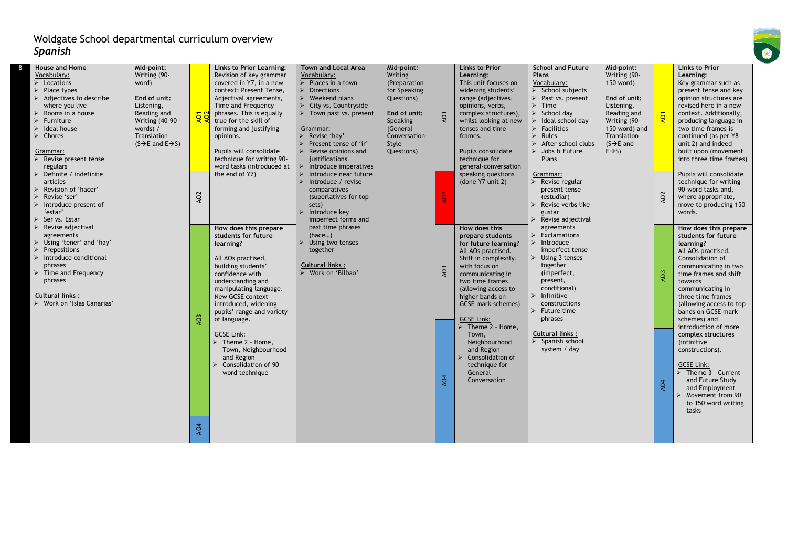| House and Home                            | Mid-point:                                |                 | Links to Prior Learning:         | Town and Local Area                            | Mid-point:    |                 | <b>Links to Prior</b>            | <b>School and Future</b>            | Mid-point:             |                 | Links to Prior          |
|-------------------------------------------|-------------------------------------------|-----------------|----------------------------------|------------------------------------------------|---------------|-----------------|----------------------------------|-------------------------------------|------------------------|-----------------|-------------------------|
| Vocabulary:                               | Writing (90-                              |                 | Revision of key grammar          | Vocabulary:                                    | Writing       |                 | Learning:                        | Plans                               | Writing (90-           |                 | Learning:               |
| $\triangleright$ Locations                | word)                                     |                 | covered in Y7, in a new          | $\triangleright$ Places in a town              | (Preparation  |                 | This unit focuses on             | Vocabulary:                         | 150 word)              |                 | Key grammar such as     |
| $\triangleright$ Place types              |                                           |                 | context: Present Tense,          | $\triangleright$ Directions                    | for Speaking  |                 | widening students'               | $\triangleright$ School subjects    |                        |                 | present tense and key   |
| $\triangleright$ Adjectives to describe   | End of unit:                              |                 | Adjectival agreements,           | $\triangleright$ Weekend plans                 | Questions)    |                 | range (adjectives,               | > Past vs. present                  | End of unit:           |                 | opinion structures are  |
| where you live                            | Listening,                                |                 | Time and Frequency               | $\triangleright$ City vs. Countryside          |               |                 | opinions, verbs,                 | $\triangleright$ Time               | Listening,             |                 | revised here in a new   |
| $\triangleright$ Rooms in a house         | Reading and                               | <b>AOT</b>      | phrases. This is equally         | > Town past vs. present                        | End of unit:  | AO <sub>1</sub> | complex structures),             | $\triangleright$ School day         | Reading and            |                 | context. Additionally,  |
| Furniture                                 | Writing (40-90                            |                 | true for the skill of            |                                                | Speaking      |                 | whilst looking at new            | $\triangleright$ Ideal school day   | Writing (90-           |                 | producing language in   |
| $\triangleright$ Ideal house              | words) /                                  |                 | forming and justifying           | Grammar:                                       | (General      |                 | tenses and time                  | $\triangleright$ Facilities         | 150 word) and          |                 | two time frames is      |
| $\triangleright$ Chores                   | Translation                               |                 | opinions.                        | $\triangleright$ Revise 'hay'                  | Conversation- |                 | frames.                          | $\triangleright$ Rules              | Translation            |                 | continued (as per Y8    |
|                                           | $(S \rightarrow E$ and $E \rightarrow S)$ |                 |                                  | > Present tense of 'ir'                        | Style         |                 |                                  | $\triangleright$ After-school clubs | $(S \rightarrow E$ and |                 | unit 2) and indeed      |
| Grammar:                                  |                                           |                 | Pupils will consolidate          | $\triangleright$ Revise opinions and           | Questions)    |                 | Pupils consolidate               | $\triangleright$ Jobs & Future      | $E \rightarrow S$ )    |                 | built upon (movement    |
| $\triangleright$ Revise present tense     |                                           |                 | technique for writing 90-        | justifications                                 |               |                 | technique for                    | Plans                               |                        |                 | into three time frames) |
| regulars                                  |                                           |                 | word tasks (introduced at        | $\blacktriangleright$<br>Introduce imperatives |               |                 | general-conversation             |                                     |                        |                 |                         |
| $\triangleright$ Definite / indefinite    |                                           |                 | the end of Y7)                   | $\triangleright$ Introduce near future         |               |                 | speaking questions               | Grammar:                            |                        |                 | Pupils will consolidate |
| articles                                  |                                           |                 |                                  | $\triangleright$ Introduce / revise            |               |                 | (done Y7 unit 2)                 | $\triangleright$ Revise regular     |                        |                 | technique for writing   |
| > Revision of 'hacer'                     |                                           |                 |                                  | comparatives                                   |               |                 |                                  | present tense                       |                        |                 | 90-word tasks and,      |
| Revise 'ser'                              |                                           | AO2             |                                  | (superlatives for top                          |               | AO <sub>2</sub> |                                  | (estudiar)                          |                        | AO <sub>2</sub> | where appropriate,      |
| $\triangleright$ Introduce present of     |                                           |                 |                                  | sets)                                          |               |                 |                                  | Revise verbs like                   |                        |                 | move to producing 150   |
| 'estar'                                   |                                           |                 |                                  | Introduce key<br>$\blacktriangleright$         |               |                 |                                  | gustar                              |                        |                 | words.                  |
| $\triangleright$ Servs. Estar             |                                           |                 |                                  | imperfect forms and                            |               |                 |                                  | Revise adjectival                   |                        |                 |                         |
| $\triangleright$ Revise adjectival        |                                           |                 | How does this prepare            | past time phrases                              |               |                 | How does this                    | agreements                          |                        |                 | How does this prepare   |
| agreements                                |                                           |                 | students for future              | (hace)                                         |               |                 | prepare students                 | $\triangleright$ Exclamations       |                        |                 | students for future     |
| > Using 'tener' and 'hay'                 |                                           |                 | learning?                        | Using two tenses                               |               |                 | for future learning?             | $\triangleright$ Introduce          |                        |                 | learning?               |
| $\triangleright$ Prepositions             |                                           |                 |                                  | together                                       |               |                 | All AOs practised.               | imperfect tense                     |                        |                 | All AOs practised.      |
| $\triangleright$ Introduce conditional    |                                           |                 | All AOs practised,               |                                                |               |                 | Shift in complexity,             | $\triangleright$ Using 3 tenses     |                        |                 | Consolidation of        |
| phrases                                   |                                           |                 | building students'               | Cultural links:                                |               | AO <sub>3</sub> | with focus on                    | together                            |                        |                 | communicating in two    |
| $\triangleright$ Time and Frequency       |                                           |                 | confidence with                  | > Work on 'Bilbao'                             |               |                 | communicating in                 | (imperfect,                         |                        | AO <sub>3</sub> | time frames and shift   |
| phrases                                   |                                           |                 | understanding and                |                                                |               |                 | two time frames                  | present,                            |                        |                 | towards                 |
|                                           |                                           |                 | manipulating language.           |                                                |               |                 | (allowing access to              | conditional)                        |                        |                 | communicating in        |
| Cultural links:                           |                                           |                 | New GCSE context                 |                                                |               |                 | higher bands on                  | $\triangleright$ Infinitive         |                        |                 | three time frames       |
| $\triangleright$ Work on 'Islas Canarias' |                                           |                 | introduced, widening             |                                                |               |                 | GCSE mark schemes)               | constructions                       |                        |                 | (allowing access to top |
|                                           |                                           |                 | pupils' range and variety        |                                                |               |                 |                                  | $\triangleright$ Future time        |                        |                 | bands on GCSE mark      |
|                                           |                                           | AO <sub>3</sub> | of language.                     |                                                |               |                 | <b>GCSE Link:</b>                | phrases                             |                        |                 | schemes) and            |
|                                           |                                           |                 |                                  |                                                |               |                 | $\triangleright$ Theme 2 - Home, |                                     |                        |                 | introduction of more    |
|                                           |                                           |                 | <b>GCSE Link:</b>                |                                                |               |                 | Town,                            | Cultural links:                     |                        |                 | complex structures      |
|                                           |                                           |                 | $\triangleright$ Theme 2 - Home, |                                                |               |                 | Neighbourhood                    | $\triangleright$ Spanish school     |                        |                 | (infinitive             |
|                                           |                                           |                 | Town, Neighbourhood              |                                                |               |                 | and Region                       | system / day                        |                        |                 | constructions).         |
|                                           |                                           |                 | and Region                       |                                                |               |                 | Consolidation of                 |                                     |                        |                 |                         |
|                                           |                                           |                 | Consolidation of 90              |                                                |               |                 | technique for                    |                                     |                        |                 | <b>GCSE Link:</b>       |
|                                           |                                           |                 | word technique                   |                                                |               |                 | General                          |                                     |                        |                 | Theme 3 - Current       |
|                                           |                                           |                 |                                  |                                                |               | AO <sub>4</sub> | Conversation                     |                                     |                        | AO <sub>4</sub> | and Future Study        |
|                                           |                                           |                 |                                  |                                                |               |                 |                                  |                                     |                        |                 | and Employment          |
|                                           |                                           |                 |                                  |                                                |               |                 |                                  |                                     |                        |                 | Movement from 90        |
|                                           |                                           |                 |                                  |                                                |               |                 |                                  |                                     |                        |                 | to 150 word writing     |
|                                           |                                           |                 |                                  |                                                |               |                 |                                  |                                     |                        |                 | tasks                   |
|                                           |                                           |                 |                                  |                                                |               |                 |                                  |                                     |                        |                 |                         |
|                                           |                                           | AO <sub>4</sub> |                                  |                                                |               |                 |                                  |                                     |                        |                 |                         |
|                                           |                                           |                 |                                  |                                                |               |                 |                                  |                                     |                        |                 |                         |

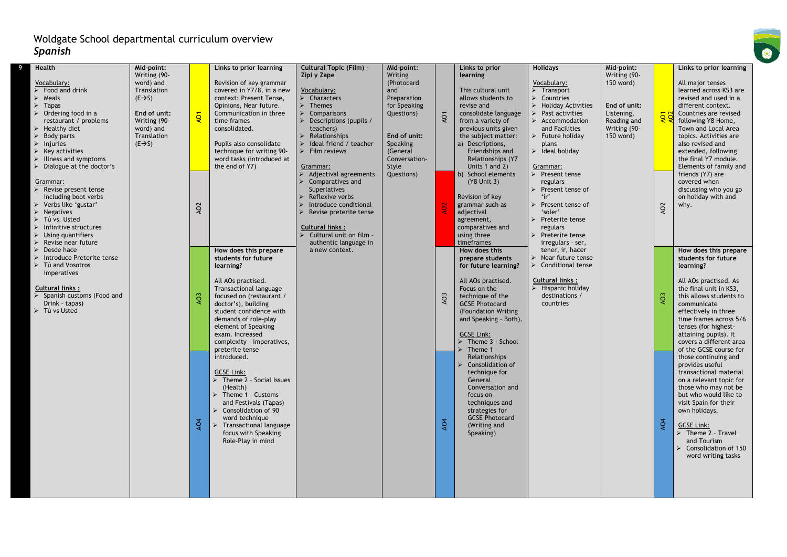| Writing (90-<br>word) and<br>Translation<br>$(E \rightarrow S)$<br>End of unit:<br>Writing (90-<br>word) and<br>Translation<br>$(E \rightarrow S)$ | Revision of key grammar<br>covered in Y7/8, in a new<br>context: Present Tense,<br>Opinions, Near future.<br>Communication in three<br>time frames<br>consolidated.<br>Pupils also consolidate<br>technique for writing 90-<br>word tasks (introduced at<br>the end of Y7) | Zipi y Zape<br>Vocabulary:<br>$\triangleright$ Characters<br>$\triangleright$ Themes<br>$\triangleright$ Comparisons<br>Descriptions (pupils /<br>teachers)<br>Relationships<br>$\triangleright$ Ideal friend / teacher<br>$\triangleright$ Film reviews<br>Grammar:<br>Adjectival agreements | Writing<br>(Photocard<br>and<br>Preparation<br>for Speaking<br>Questions)<br>End of unit:<br>Speaking<br>(General<br>Conversation-<br>Style<br>Questions) | AO1             | learning<br>This cultural unit<br>allows students to<br>revise and<br>consolidate language<br>from a variety of<br>previous units given<br>the subject matter:<br>a) Descriptions,<br>Friendships and<br>Relationships (Y7<br>Units 1 and 2) | Vocabulary:<br>$\triangleright$ Transport<br>$\triangleright$ Countries<br>$\triangleright$ Holiday Activities<br>Past activities<br>$\triangleright$ Accommodation<br>and Facilities<br>Future holiday<br>plans<br>$\blacktriangleright$ Ideal holiday<br>Grammar:<br>Present tense | Writing (90-<br>150 word)<br>End of unit:<br>Listening,<br>Reading and<br>Writing (90-<br>150 word) | <b>AOT</b>      | All major tenses<br>learned across KS3 are<br>revised and used in a<br>different context.<br>Countries are revised<br>following Y8 Home,<br>Town and Local Area<br>topics. Activities are<br>also revised and<br>extended, following<br>the final Y7 module.<br>Elements of family and<br>friends (Y7) are |
|----------------------------------------------------------------------------------------------------------------------------------------------------|----------------------------------------------------------------------------------------------------------------------------------------------------------------------------------------------------------------------------------------------------------------------------|-----------------------------------------------------------------------------------------------------------------------------------------------------------------------------------------------------------------------------------------------------------------------------------------------|-----------------------------------------------------------------------------------------------------------------------------------------------------------|-----------------|----------------------------------------------------------------------------------------------------------------------------------------------------------------------------------------------------------------------------------------------|--------------------------------------------------------------------------------------------------------------------------------------------------------------------------------------------------------------------------------------------------------------------------------------|-----------------------------------------------------------------------------------------------------|-----------------|------------------------------------------------------------------------------------------------------------------------------------------------------------------------------------------------------------------------------------------------------------------------------------------------------------|
|                                                                                                                                                    | How does this prepare<br>students for future<br>learning?                                                                                                                                                                                                                  | Superlatives<br>Reflexive verbs<br>Introduce conditional<br>Revise preterite tense<br><b>Cultural links:</b><br>Cultural unit on film -<br>authentic language in<br>a new context.                                                                                                            |                                                                                                                                                           |                 | Revision of key<br>grammar such as<br>adjectival<br>agreement,<br>comparatives and<br>using three<br>timeframes<br>How does this<br>prepare students<br>for future learning?                                                                 | Present tense of<br>$\cdot$ ir'<br>Present tense of<br>'soler'<br>Preterite tense<br>regulars<br>Preterite tense<br>irregulars - ser,<br>tener, ir, hacer<br>Near future tense<br>Conditional tense                                                                                  |                                                                                                     | AO <sub>2</sub> | covered when<br>discussing who you go<br>on holiday with and<br>why.<br>How does this prepare<br>students for future<br>learning?                                                                                                                                                                          |
|                                                                                                                                                    | All AOs practised.<br>Transactional language<br>focused on (restaurant /<br>doctor's), building<br>student confidence with<br>demands of role-play<br>element of Speaking<br>exam. Increased<br>complexity - imperatives,<br>preterite tense<br>introduced.                |                                                                                                                                                                                                                                                                                               |                                                                                                                                                           | AO3             | All AOs practised.<br>Focus on the<br>technique of the<br><b>GCSE Photocard</b><br>(Foundation Writing<br>and Speaking - Both).<br><b>GCSE Link:</b><br>$\triangleright$ Theme 3 - School<br>Theme 1<br>Relationships                        | <b>Cultural links:</b><br>Hispanic holiday<br>destinations /<br>countries                                                                                                                                                                                                            |                                                                                                     | AO <sub>3</sub> | All AOs practised. As<br>the final unit in KS3,<br>this allows students to<br>communicate<br>effectively in three<br>time frames across 5/6<br>tenses (for highest-<br>attaining pupils). It<br>covers a different area<br>of the GCSE course for<br>those continuing and                                  |
|                                                                                                                                                    | <b>GCSE Link:</b><br>$\triangleright$ Theme 2 - Social Issues<br>(Health)<br>$\triangleright$ Theme 1 - Customs<br>and Festivals (Tapas)<br>Consolidation of 90<br>word technique<br>focus with Speaking<br>Role-Play in mind                                              |                                                                                                                                                                                                                                                                                               |                                                                                                                                                           | AO <sub>4</sub> | technique for<br>General<br>Conversation and<br>focus on<br>techniques and<br>strategies for<br><b>GCSE Photocard</b><br>(Writing and<br>Speaking)                                                                                           |                                                                                                                                                                                                                                                                                      |                                                                                                     | AO <sub>4</sub> | provides useful<br>transactional material<br>on a relevant topic for<br>those who may not be<br>but who would like to<br>visit Spain for their<br>own holidays.<br><b>GCSE Link:</b><br>$\triangleright$ Theme 2 - Travel<br>and Tourism<br>Consolidation of 150<br>word writing tasks                     |
|                                                                                                                                                    | <b>AO1</b><br>AO <sub>2</sub><br>AO <sub>3</sub><br>AO4                                                                                                                                                                                                                    | $\triangleright$ Transactional language                                                                                                                                                                                                                                                       | Comparatives and                                                                                                                                          |                 |                                                                                                                                                                                                                                              | b) School elements<br>(Y8 Unit 3)<br>Consolidation of                                                                                                                                                                                                                                | regulars                                                                                            |                 |                                                                                                                                                                                                                                                                                                            |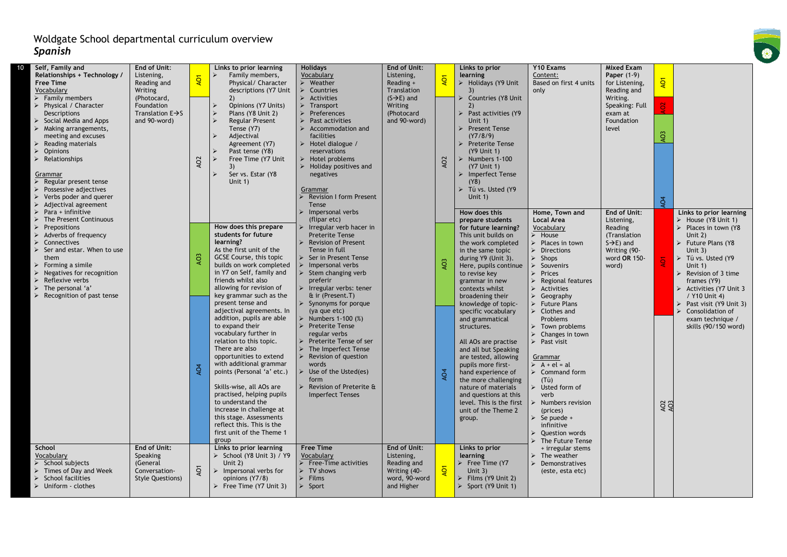| Self, Family and<br>10                       | End of Unit:                  |                 | Links to prior learning                               | <b>Holidays</b>                                   | End of Unit:            |                 | Links to prior                       | Y10 Exams                                                       | Mixed Exam             |                 |                                         |
|----------------------------------------------|-------------------------------|-----------------|-------------------------------------------------------|---------------------------------------------------|-------------------------|-----------------|--------------------------------------|-----------------------------------------------------------------|------------------------|-----------------|-----------------------------------------|
| Relationships + Technology /                 | Listening,                    |                 | Family members,                                       | Vocabulary                                        | Listening,              |                 | learning                             | Content:                                                        | Paper (1-9)            |                 |                                         |
| <b>Free Time</b>                             | Reading and                   | <b>AO1</b>      | Physical/ Character                                   | > Weather                                         | Reading +               | <b>AO1</b>      | $\triangleright$ Holidays (Y9 Unit   | Based on first 4 units                                          | for Listening,         | <b>Q</b>        |                                         |
| Vocabulary                                   | Writing                       |                 | descriptions (Y7 Unit                                 | $\triangleright$ Countries                        | Translation             |                 |                                      | only                                                            | Reading and            |                 |                                         |
| $\triangleright$ Family members              | (Photocard,                   |                 | 2)                                                    | $\triangleright$ Activities                       | $(S \rightarrow E)$ and |                 | > Countries (Y8 Unit                 |                                                                 | Writing.               |                 |                                         |
| > Physical / Character                       | Foundation                    |                 | Opinions (Y7 Units)                                   | $\triangleright$ Transport                        | Writing                 |                 | 2)                                   |                                                                 | Speaking: Full         |                 |                                         |
| Descriptions                                 | Translation $E \rightarrow S$ |                 | Plans (Y8 Unit 2)                                     | $\triangleright$ Preferences                      | (Photocard              |                 | $\triangleright$ Past activities (Y9 |                                                                 | exam at                |                 |                                         |
| Social Media and Apps                        | and 90-word)                  |                 | <b>Regular Present</b>                                | Past activities                                   | and 90-word)            |                 | Unit $1)$                            |                                                                 | Foundation             |                 |                                         |
| $\triangleright$ Making arrangements,        |                               |                 | Tense (Y7)                                            | $\triangleright$ Accommodation and                |                         |                 | > Present Tense                      |                                                                 | level                  |                 |                                         |
| meeting and excuses                          |                               |                 | Adjectival                                            | facilities                                        |                         |                 | (Y7/8/9)                             |                                                                 |                        | AO <sub>3</sub> |                                         |
| Reading materials<br><b>Opinions</b>         |                               |                 | Agreement (Y7)<br>Past tense (Y8)                     | $\triangleright$ Hotel dialogue /<br>reservations |                         |                 | > Preterite Tense<br>(Y9 Unit 1)     |                                                                 |                        |                 |                                         |
| $\triangleright$ Relationships               |                               |                 | Free Time (Y7 Unit                                    | $\triangleright$ Hotel problems                   |                         |                 | $\triangleright$ Numbers 1-100       |                                                                 |                        |                 |                                         |
|                                              |                               | AO <sub>2</sub> | 3)                                                    | $\triangleright$ Holiday positives and            |                         | AO <sub>2</sub> | (Y7 Unit 1)                          |                                                                 |                        |                 |                                         |
| Grammar                                      |                               |                 | Ser vs. Estar (Y8                                     | negatives                                         |                         |                 | > Imperfect Tense                    |                                                                 |                        |                 |                                         |
| Regular present tense                        |                               |                 | Unit $1$ )                                            |                                                   |                         |                 | (Y8)                                 |                                                                 |                        |                 |                                         |
| Possessive adjectives                        |                               |                 |                                                       | Grammar                                           |                         |                 | $\triangleright$ Tú vs. Usted (Y9    |                                                                 |                        |                 |                                         |
| $\triangleright$ Verbs poder and querer      |                               |                 |                                                       | Revision I form Present                           |                         |                 | Unit $1$ )                           |                                                                 |                        |                 |                                         |
| $\triangleright$ Adjectival agreement        |                               |                 |                                                       | Tense                                             |                         |                 |                                      |                                                                 |                        | $\tilde{q}$     |                                         |
| Para + infinitive                            |                               |                 |                                                       | $\triangleright$ Impersonal verbs                 |                         |                 | How does this                        | Home, Town and                                                  | End of Unit:           |                 | Links to prior learning                 |
| The Present Continuous                       |                               |                 |                                                       | (flipar etc)                                      |                         |                 | prepare students                     | <b>Local Area</b>                                               | Listening,             |                 | > House (Y8 Unit 1)                     |
| Prepositions                                 |                               |                 | How does this prepare                                 | $\triangleright$ Irregular verb hacer in          |                         |                 | for future learning?                 | Vocabulary                                                      | Reading                |                 | $\triangleright$ Places in town (Y8     |
| Adverbs of frequency                         |                               |                 | students for future                                   | <b>Preterite Tense</b>                            |                         |                 | This unit builds on                  | $\triangleright$ House                                          | (Translation           |                 | Unit $2)$                               |
| Connectives                                  |                               |                 | learning?                                             | <b>Revision of Present</b>                        |                         |                 | the work completed                   | Places in town                                                  | $S\rightarrow E$ ) and |                 | Future Plans (Y8                        |
| $\triangleright$ Ser and estar. When to use  |                               |                 | As the first unit of the                              | Tense in full                                     |                         |                 | in the same topic                    | $\triangleright$ Directions                                     | Writing (90-           |                 | Unit $3)$                               |
| them                                         |                               | AO <sub>3</sub> | GCSE Course, this topic                               | $\triangleright$ Ser in Present Tense             |                         | AO <sub>3</sub> | during Y9 (Unit 3).                  | $\triangleright$ Shops                                          | word OR 150-           | $\overline{Q}$  | $\triangleright$ Tú vs. Usted (Y9       |
| Forming a simile                             |                               |                 | builds on work completed<br>in Y7 on Self, family and | $\triangleright$ Impersonal verbs                 |                         |                 | Here, pupils continue                | $\blacktriangleright$<br>Souvenirs                              | word)                  |                 | Unit $1)$                               |
| Negatives for recognition<br>Reflexive verbs |                               |                 | friends whilst also                                   | $\triangleright$ Stem changing verb<br>preferir   |                         |                 | to revise key                        | $\triangleright$ Prices                                         |                        |                 | $\triangleright$ Revision of 3 time     |
| $\triangleright$ The personal 'a'            |                               |                 | allowing for revision of                              | $\triangleright$ Irregular verbs: tener           |                         |                 | grammar in new<br>contexts whilst    | <b>Regional features</b><br>$\blacktriangleright$<br>Activities |                        |                 | frames (Y9)<br>> Activities (Y7 Unit 3  |
| $\triangleright$ Recognition of past tense   |                               |                 | key grammar such as the                               | & ir (Present.T)                                  |                         |                 | broadening their                     | $\triangleright$ Geography                                      |                        |                 | / Y10 Unit 4)                           |
|                                              |                               |                 | present tense and                                     | $\triangleright$ Synonyms for porque              |                         |                 | knowledge of topic-                  | $\triangleright$ Future Plans                                   |                        |                 | $\triangleright$ Past visit (Y9 Unit 3) |
|                                              |                               |                 | adjectival agreements. In                             | (ya que etc)                                      |                         |                 | specific vocabulary                  | $\triangleright$ Clothes and                                    |                        |                 | $\triangleright$ Consolidation of       |
|                                              |                               |                 | addition, pupils are able                             | > Numbers 1-100 (%)                               |                         |                 | and grammatical                      | Problems                                                        |                        |                 | exam technique /                        |
|                                              |                               |                 | to expand their                                       | > Preterite Tense                                 |                         |                 | structures.                          | $\triangleright$ Town problems                                  |                        |                 | skills (90/150 word)                    |
|                                              |                               |                 | vocabulary further in                                 | regular verbs                                     |                         |                 |                                      | $\triangleright$ Changes in town                                |                        |                 |                                         |
|                                              |                               |                 | relation to this topic.                               | > Preterite Tense of ser                          |                         |                 | All AOs are practise                 | $\triangleright$ Past visit                                     |                        |                 |                                         |
|                                              |                               |                 | There are also                                        | $\triangleright$ The Imperfect Tense              |                         |                 | and all but Speaking                 |                                                                 |                        |                 |                                         |
|                                              |                               |                 | opportunities to extend                               | $\triangleright$ Revision of question             |                         |                 | are tested, allowing                 | Grammar                                                         |                        |                 |                                         |
|                                              |                               |                 | with additional grammar                               | words                                             |                         |                 | pupils more first-                   | $\triangleright$ A + el = al                                    |                        |                 |                                         |
|                                              |                               | AO <sub>4</sub> | points (Personal 'a' etc.)                            | $\triangleright$ Use of the Usted(es)             |                         | AO <sub>4</sub> | hand experience of                   | $\triangleright$ Command form                                   |                        |                 |                                         |
|                                              |                               |                 |                                                       | form                                              |                         |                 | the more challenging                 | (T <sub>u</sub> )                                               |                        |                 |                                         |
|                                              |                               |                 | Skills-wise, all AOs are                              | Revision of Preterite &                           |                         |                 | nature of materials                  | $\triangleright$ Usted form of                                  |                        |                 |                                         |
|                                              |                               |                 | practised, helping pupils                             | <b>Imperfect Tenses</b>                           |                         |                 | and questions at this                | verb                                                            |                        |                 |                                         |
|                                              |                               |                 | to understand the                                     |                                                   |                         |                 | level. This is the first             | $\triangleright$ Numbers revision                               |                        | AO2<br>AO3      |                                         |
|                                              |                               |                 | increase in challenge at<br>this stage. Assessments   |                                                   |                         |                 | unit of the Theme 2                  | (prices)                                                        |                        |                 |                                         |
|                                              |                               |                 | reflect this. This is the                             |                                                   |                         |                 | group.                               | $\triangleright$ Se puede +<br>infinitive                       |                        |                 |                                         |
|                                              |                               |                 | first unit of the Theme 1                             |                                                   |                         |                 |                                      | <b>Question words</b>                                           |                        |                 |                                         |
|                                              |                               |                 | group                                                 |                                                   |                         |                 |                                      | The Future Tense                                                |                        |                 |                                         |
| School                                       | End of Unit:                  |                 | Links to prior learning                               | <b>Free Time</b>                                  | End of Unit:            |                 | Links to prior                       | + irregular stems                                               |                        |                 |                                         |
| Vocabulary                                   | Speaking                      |                 | $\triangleright$ School (Y8 Unit 3) / Y9              | Vocabulary                                        | Listening,              |                 | learning                             | $\triangleright$ The weather                                    |                        |                 |                                         |
| $\triangleright$ School subjects             | (General                      |                 | Unit $2)$                                             | $\triangleright$ Free-Time activities             | Reading and             |                 | $\triangleright$ Free Time (Y7       | $\blacktriangleright$<br>Demonstratives                         |                        |                 |                                         |
| $\triangleright$ Times of Day and Week       | Conversation-                 | $\overline{4}$  | Impersonal verbs for<br>≻                             | $\triangleright$ TV shows                         | Writing (40-            | $\overline{Q}$  | Unit $3)$                            | (este, esta etc)                                                |                        |                 |                                         |
| $\triangleright$ School facilities           | <b>Style Questions)</b>       |                 | opinions (Y7/8)                                       | $\triangleright$ Films                            | word, 90-word           |                 | $\triangleright$ Films (Y9 Unit 2)   |                                                                 |                        |                 |                                         |
| $\triangleright$ Uniform - clothes           |                               |                 | Free Time (Y7 Unit 3)                                 | $\triangleright$ Sport                            | and Higher              |                 | $\triangleright$ Sport (Y9 Unit 1)   |                                                                 |                        |                 |                                         |
|                                              |                               |                 |                                                       |                                                   |                         |                 |                                      |                                                                 |                        |                 |                                         |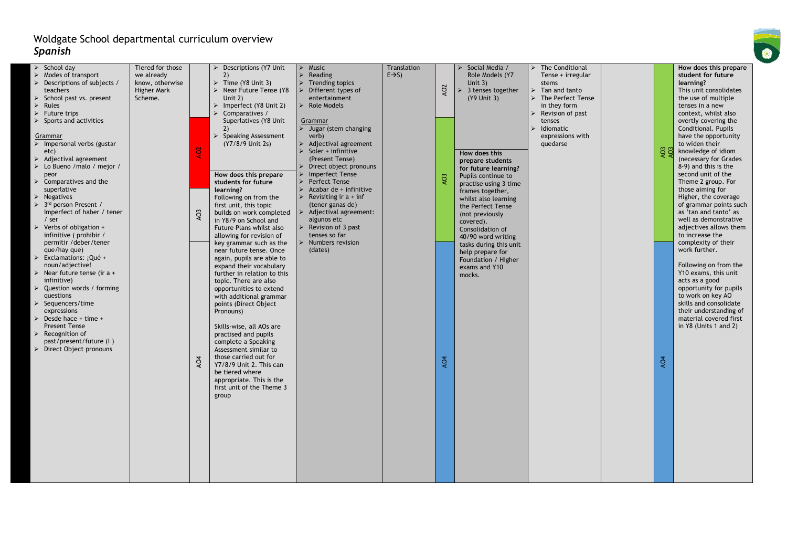| $\triangleright$ School day<br>Tiered for those<br>Descriptions (Y7 Unit<br>$\triangleright$ Music<br>Translation<br>Social Media /<br>> The Conditional<br>$E \rightarrow S$<br>Role Models (Y7<br>$\triangleright$ Modes of transport<br>we already<br>2)<br>$\triangleright$ Reading<br>Tense + irregular<br>$\triangleright$ Time (Y8 Unit 3)<br>$\triangleright$ Descriptions of subjects /<br>know, otherwise<br>$\triangleright$ Trending topics<br>Unit $3)$<br>stems<br>AO <sub>2</sub><br><b>Higher Mark</b><br>Near Future Tense (Y8<br>3 tenses together<br>teachers<br>Different types of<br>Tan and tanto<br>↘<br>> The Perfect Tense<br>$\triangleright$ School past vs. present<br>Scheme.<br>Unit $2)$<br>entertainment<br>(Y9 Unit 3) | How does this prepare<br>student for future<br>learning?<br>This unit consolidates<br>the use of multiple |
|---------------------------------------------------------------------------------------------------------------------------------------------------------------------------------------------------------------------------------------------------------------------------------------------------------------------------------------------------------------------------------------------------------------------------------------------------------------------------------------------------------------------------------------------------------------------------------------------------------------------------------------------------------------------------------------------------------------------------------------------------------|-----------------------------------------------------------------------------------------------------------|
|                                                                                                                                                                                                                                                                                                                                                                                                                                                                                                                                                                                                                                                                                                                                                         |                                                                                                           |
|                                                                                                                                                                                                                                                                                                                                                                                                                                                                                                                                                                                                                                                                                                                                                         |                                                                                                           |
|                                                                                                                                                                                                                                                                                                                                                                                                                                                                                                                                                                                                                                                                                                                                                         |                                                                                                           |
|                                                                                                                                                                                                                                                                                                                                                                                                                                                                                                                                                                                                                                                                                                                                                         |                                                                                                           |
| $\triangleright$ Rules<br>$\triangleright$ Imperfect (Y8 Unit 2)<br>$\triangleright$ Role Models<br>in they form                                                                                                                                                                                                                                                                                                                                                                                                                                                                                                                                                                                                                                        | tenses in a new                                                                                           |
| $\triangleright$ Future trips<br>Comparatives /<br>Revision of past                                                                                                                                                                                                                                                                                                                                                                                                                                                                                                                                                                                                                                                                                     | context, whilst also                                                                                      |
| $\triangleright$ Sports and activities<br>Superlatives (Y8 Unit                                                                                                                                                                                                                                                                                                                                                                                                                                                                                                                                                                                                                                                                                         |                                                                                                           |
| tenses<br>Grammar<br>Idiomatic<br>2)                                                                                                                                                                                                                                                                                                                                                                                                                                                                                                                                                                                                                                                                                                                    | overtly covering the                                                                                      |
| $\triangleright$ Jugar (stem changing                                                                                                                                                                                                                                                                                                                                                                                                                                                                                                                                                                                                                                                                                                                   | Conditional. Pupils                                                                                       |
| $\triangleright$ Speaking Assessment<br>expressions with<br>verb)<br>Grammar<br>(Y7/8/9 Unit 2s)                                                                                                                                                                                                                                                                                                                                                                                                                                                                                                                                                                                                                                                        | have the opportunity                                                                                      |
| $\triangleright$ Impersonal verbs (gustar<br>$\triangleright$ Adjectival agreement<br>quedarse                                                                                                                                                                                                                                                                                                                                                                                                                                                                                                                                                                                                                                                          | to widen their                                                                                            |
| $\frac{2}{403}$<br>Soler + infinitive<br>etc)<br>How does this                                                                                                                                                                                                                                                                                                                                                                                                                                                                                                                                                                                                                                                                                          | knowledge of idiom                                                                                        |
| $\triangleright$ Adjectival agreement<br>(Present Tense)<br>prepare students                                                                                                                                                                                                                                                                                                                                                                                                                                                                                                                                                                                                                                                                            | (necessary for Grades                                                                                     |
| $\triangleright$ Lo Bueno / malo / mejor /<br>Direct object pronouns<br>for future learning?                                                                                                                                                                                                                                                                                                                                                                                                                                                                                                                                                                                                                                                            | 8-9) and this is the                                                                                      |
| How does this prepare<br><b>Imperfect Tense</b><br>peor<br>AO <sub>3</sub><br>Pupils continue to                                                                                                                                                                                                                                                                                                                                                                                                                                                                                                                                                                                                                                                        | second unit of the                                                                                        |
| $\triangleright$ Comparatives and the<br><b>Perfect Tense</b><br>students for future<br>practise using 3 time<br>$\blacktriangle$                                                                                                                                                                                                                                                                                                                                                                                                                                                                                                                                                                                                                       | Theme 2 group. For                                                                                        |
| superlative<br>Acabar de + infinitive<br>learning?<br>frames together,                                                                                                                                                                                                                                                                                                                                                                                                                                                                                                                                                                                                                                                                                  | those aiming for                                                                                          |
| $\triangleright$ Negatives<br>Revisiting ir $a + inf$<br>Following on from the<br>whilst also learning                                                                                                                                                                                                                                                                                                                                                                                                                                                                                                                                                                                                                                                  | Higher, the coverage                                                                                      |
| $\triangleright$ 3 <sup>rd</sup> person Present /<br>(tener ganas de)<br>first unit, this topic<br>the Perfect Tense                                                                                                                                                                                                                                                                                                                                                                                                                                                                                                                                                                                                                                    | of grammar points such                                                                                    |
| AO <sub>3</sub><br>Imperfect of haber / tener<br>Adjectival agreement:<br>builds on work completed<br>(not previously                                                                                                                                                                                                                                                                                                                                                                                                                                                                                                                                                                                                                                   | as 'tan and tanto' as                                                                                     |
| $/$ ser<br>in Y8/9 on School and<br>algunos etc<br>covered).                                                                                                                                                                                                                                                                                                                                                                                                                                                                                                                                                                                                                                                                                            | well as demonstrative                                                                                     |
| $\triangleright$ Verbs of obligation +<br>$\triangleright$ Revision of 3 past<br>Future Plans whilst also<br>Consolidation of                                                                                                                                                                                                                                                                                                                                                                                                                                                                                                                                                                                                                           | adjectives allows them                                                                                    |
| infinitive (prohibir /<br>tenses so far<br>allowing for revision of<br>40/90 word writing                                                                                                                                                                                                                                                                                                                                                                                                                                                                                                                                                                                                                                                               | to increase the                                                                                           |
| permitir /deber/tener<br><b>Numbers revision</b><br>key grammar such as the<br>tasks during this unit                                                                                                                                                                                                                                                                                                                                                                                                                                                                                                                                                                                                                                                   | complexity of their                                                                                       |
| que/hay que)<br>(dates)<br>near future tense. Once<br>help prepare for                                                                                                                                                                                                                                                                                                                                                                                                                                                                                                                                                                                                                                                                                  | work further.                                                                                             |
| Exclamations: ¡Qué +<br>again, pupils are able to<br>Foundation / Higher                                                                                                                                                                                                                                                                                                                                                                                                                                                                                                                                                                                                                                                                                |                                                                                                           |
| noun/adjective!<br>expand their vocabulary<br>exams and Y10                                                                                                                                                                                                                                                                                                                                                                                                                                                                                                                                                                                                                                                                                             | Following on from the                                                                                     |
| $\triangleright$ Near future tense (ir a +<br>further in relation to this<br>mocks.                                                                                                                                                                                                                                                                                                                                                                                                                                                                                                                                                                                                                                                                     | Y10 exams, this unit                                                                                      |
| infinitive)<br>topic. There are also                                                                                                                                                                                                                                                                                                                                                                                                                                                                                                                                                                                                                                                                                                                    | acts as a good                                                                                            |
| $\triangleright$ Question words / forming<br>opportunities to extend                                                                                                                                                                                                                                                                                                                                                                                                                                                                                                                                                                                                                                                                                    | opportunity for pupils                                                                                    |
| questions<br>with additional grammar                                                                                                                                                                                                                                                                                                                                                                                                                                                                                                                                                                                                                                                                                                                    | to work on key AO                                                                                         |
| $\triangleright$ Sequencers/time<br>points (Direct Object                                                                                                                                                                                                                                                                                                                                                                                                                                                                                                                                                                                                                                                                                               | skills and consolidate                                                                                    |
| expressions<br>Pronouns)                                                                                                                                                                                                                                                                                                                                                                                                                                                                                                                                                                                                                                                                                                                                | their understanding of                                                                                    |
| $\triangleright$ Desde hace + time +                                                                                                                                                                                                                                                                                                                                                                                                                                                                                                                                                                                                                                                                                                                    | material covered first                                                                                    |
| <b>Present Tense</b><br>Skills-wise, all AOs are                                                                                                                                                                                                                                                                                                                                                                                                                                                                                                                                                                                                                                                                                                        | in Y8 (Units 1 and 2)                                                                                     |
| Recognition of<br>practised and pupils                                                                                                                                                                                                                                                                                                                                                                                                                                                                                                                                                                                                                                                                                                                  |                                                                                                           |
| past/present/future (I)<br>complete a Speaking                                                                                                                                                                                                                                                                                                                                                                                                                                                                                                                                                                                                                                                                                                          |                                                                                                           |
| $\triangleright$ Direct Object pronouns<br>Assessment similar to                                                                                                                                                                                                                                                                                                                                                                                                                                                                                                                                                                                                                                                                                        |                                                                                                           |
| those carried out for                                                                                                                                                                                                                                                                                                                                                                                                                                                                                                                                                                                                                                                                                                                                   |                                                                                                           |
| AO <sub>4</sub><br>AO <sub>4</sub><br>AO <sub>4</sub><br>Y7/8/9 Unit 2. This can                                                                                                                                                                                                                                                                                                                                                                                                                                                                                                                                                                                                                                                                        |                                                                                                           |
| be tiered where                                                                                                                                                                                                                                                                                                                                                                                                                                                                                                                                                                                                                                                                                                                                         |                                                                                                           |
| appropriate. This is the                                                                                                                                                                                                                                                                                                                                                                                                                                                                                                                                                                                                                                                                                                                                |                                                                                                           |
| first unit of the Theme 3                                                                                                                                                                                                                                                                                                                                                                                                                                                                                                                                                                                                                                                                                                                               |                                                                                                           |
| group                                                                                                                                                                                                                                                                                                                                                                                                                                                                                                                                                                                                                                                                                                                                                   |                                                                                                           |
|                                                                                                                                                                                                                                                                                                                                                                                                                                                                                                                                                                                                                                                                                                                                                         |                                                                                                           |
|                                                                                                                                                                                                                                                                                                                                                                                                                                                                                                                                                                                                                                                                                                                                                         |                                                                                                           |
|                                                                                                                                                                                                                                                                                                                                                                                                                                                                                                                                                                                                                                                                                                                                                         |                                                                                                           |
|                                                                                                                                                                                                                                                                                                                                                                                                                                                                                                                                                                                                                                                                                                                                                         |                                                                                                           |
|                                                                                                                                                                                                                                                                                                                                                                                                                                                                                                                                                                                                                                                                                                                                                         |                                                                                                           |
|                                                                                                                                                                                                                                                                                                                                                                                                                                                                                                                                                                                                                                                                                                                                                         |                                                                                                           |
|                                                                                                                                                                                                                                                                                                                                                                                                                                                                                                                                                                                                                                                                                                                                                         |                                                                                                           |
|                                                                                                                                                                                                                                                                                                                                                                                                                                                                                                                                                                                                                                                                                                                                                         |                                                                                                           |
|                                                                                                                                                                                                                                                                                                                                                                                                                                                                                                                                                                                                                                                                                                                                                         |                                                                                                           |
|                                                                                                                                                                                                                                                                                                                                                                                                                                                                                                                                                                                                                                                                                                                                                         |                                                                                                           |
|                                                                                                                                                                                                                                                                                                                                                                                                                                                                                                                                                                                                                                                                                                                                                         |                                                                                                           |

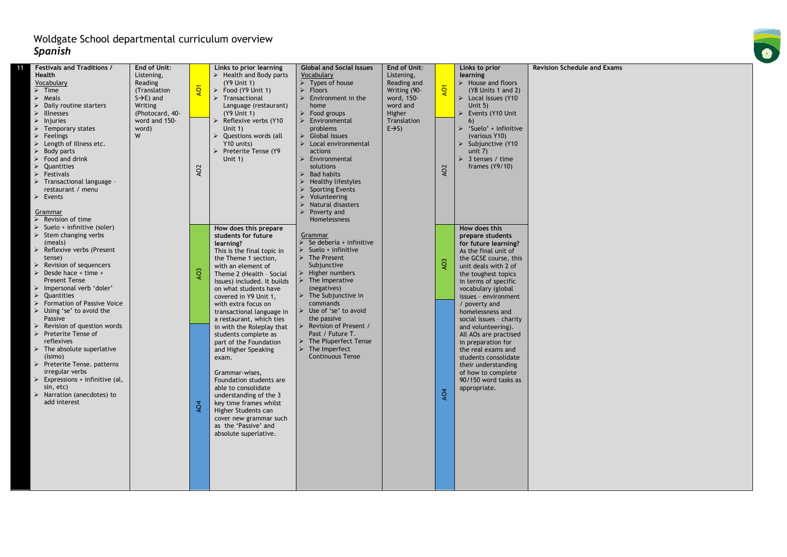